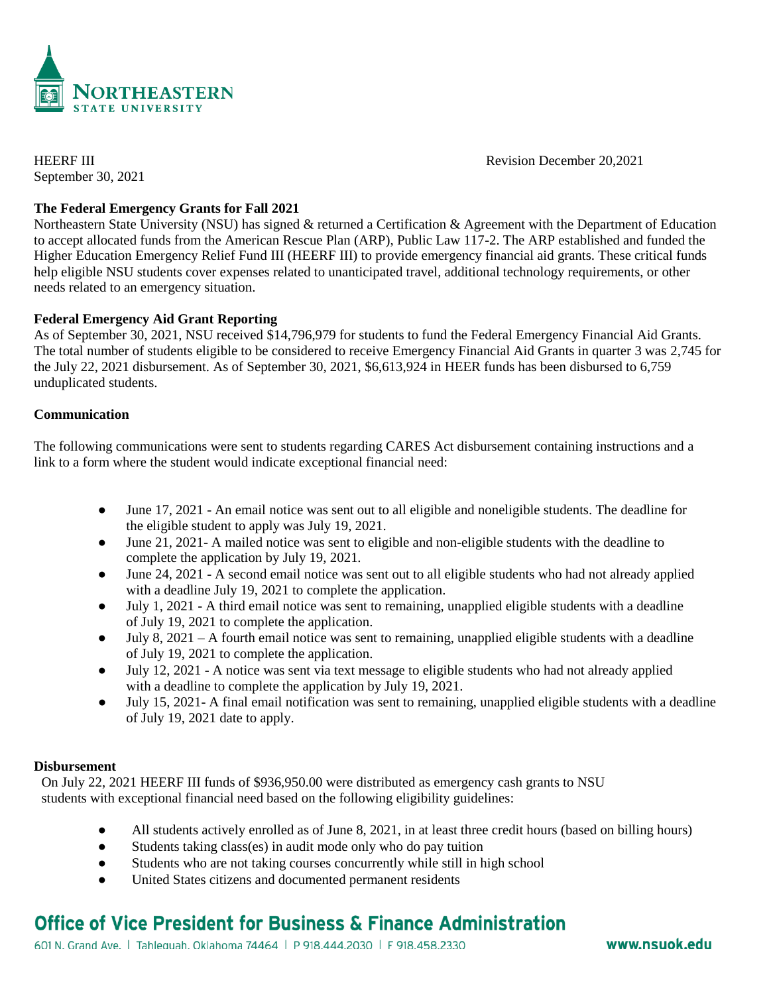

September 30, 2021

HEERF III Revision December 20,2021

# **The Federal Emergency Grants for Fall 2021**

Northeastern State University (NSU) has signed & returned a Certification & Agreement with the Department of Education to accept allocated funds from the American Rescue Plan (ARP), Public Law 117-2. The ARP established and funded the Higher Education Emergency Relief Fund III (HEERF III) to provide emergency financial aid grants. These critical funds help eligible NSU students cover expenses related to unanticipated travel, additional technology requirements, or other needs related to an emergency situation.

### **Federal Emergency Aid Grant Reporting**

As of September 30, 2021, NSU received \$14,796,979 for students to fund the Federal Emergency Financial Aid Grants. The total number of students eligible to be considered to receive Emergency Financial Aid Grants in quarter 3 was 2,745 for the July 22, 2021 disbursement. As of September 30, 2021, \$6,613,924 in HEER funds has been disbursed to 6,759 unduplicated students.

# **Communication**

The following communications were sent to students regarding CARES Act disbursement containing instructions and a link to a form where the student would indicate exceptional financial need:

- June 17, 2021 An email notice was sent out to all eligible and noneligible students. The deadline for the eligible student to apply was July 19, 2021.
- June 21, 2021- A mailed notice was sent to eligible and non-eligible students with the deadline to complete the application by July 19, 2021.
- June 24, 2021 A second email notice was sent out to all eligible students who had not already applied with a deadline July 19, 2021 to complete the application.
- July 1, 2021 A third email notice was sent to remaining, unapplied eligible students with a deadline of July 19, 2021 to complete the application.
- $\bullet$  July 8, 2021 A fourth email notice was sent to remaining, unapplied eligible students with a deadline of July 19, 2021 to complete the application.
- July 12, 2021 A notice was sent via text message to eligible students who had not already applied with a deadline to complete the application by July 19, 2021.
- July 15, 2021- A final email notification was sent to remaining, unapplied eligible students with a deadline of July 19, 2021 date to apply.

### **Disbursement**

On July 22, 2021 HEERF III funds of \$936,950.00 were distributed as emergency cash grants to NSU students with exceptional financial need based on the following eligibility guidelines:

- All students actively enrolled as of June 8, 2021, in at least three credit hours (based on billing hours)
- Students taking class(es) in audit mode only who do pay tuition
- Students who are not taking courses concurrently while still in high school
- United States citizens and documented permanent residents

# **Office of Vice President for Business & Finance Administration**